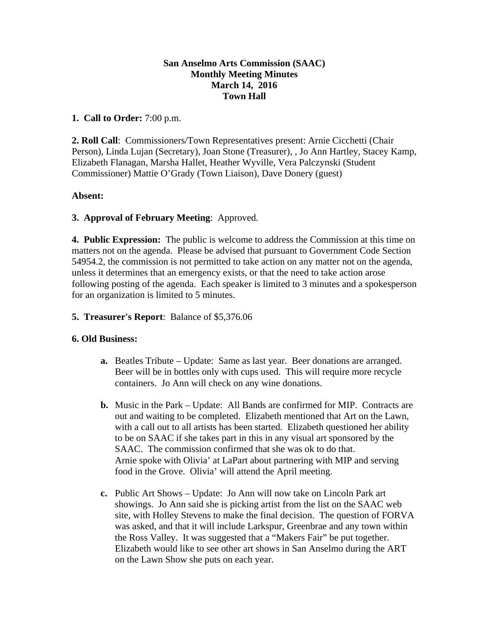## **San Anselmo Arts Commission (SAAC) Monthly Meeting Minutes March 14, 2016 Town Hall**

## **1. Call to Order:** 7:00 p.m.

**2. Roll Call**: Commissioners/Town Representatives present: Arnie Cicchetti (Chair Person), Linda Lujan (Secretary), Joan Stone (Treasurer), , Jo Ann Hartley, Stacey Kamp, Elizabeth Flanagan, Marsha Hallet, Heather Wyville, Vera Palczynski (Student Commissioner) Mattie O'Grady (Town Liaison), Dave Donery (guest)

# **Absent:**

# **3. Approval of February Meeting**: Approved.

**4. Public Expression:** The public is welcome to address the Commission at this time on matters not on the agenda. Please be advised that pursuant to Government Code Section 54954.2, the commission is not permitted to take action on any matter not on the agenda, unless it determines that an emergency exists, or that the need to take action arose following posting of the agenda. Each speaker is limited to 3 minutes and a spokesperson for an organization is limited to 5 minutes.

## **5. Treasurer's Report**: Balance of \$5,376.06

#### **6. Old Business:**

- **a.** Beatles Tribute Update: Same as last year. Beer donations are arranged. Beer will be in bottles only with cups used. This will require more recycle containers. Jo Ann will check on any wine donations.
- **b.** Music in the Park Update: All Bands are confirmed for MIP. Contracts are out and waiting to be completed. Elizabeth mentioned that Art on the Lawn, with a call out to all artists has been started. Elizabeth questioned her ability to be on SAAC if she takes part in this in any visual art sponsored by the SAAC. The commission confirmed that she was ok to do that. Arnie spoke with Olivia' at LaPart about partnering with MIP and serving food in the Grove. Olivia' will attend the April meeting.
- **c.** Public Art Shows Update: Jo Ann will now take on Lincoln Park art showings. Jo Ann said she is picking artist from the list on the SAAC web site, with Holley Stevens to make the final decision. The question of FORVA was asked, and that it will include Larkspur, Greenbrae and any town within the Ross Valley. It was suggested that a "Makers Fair" be put together. Elizabeth would like to see other art shows in San Anselmo during the ART on the Lawn Show she puts on each year.